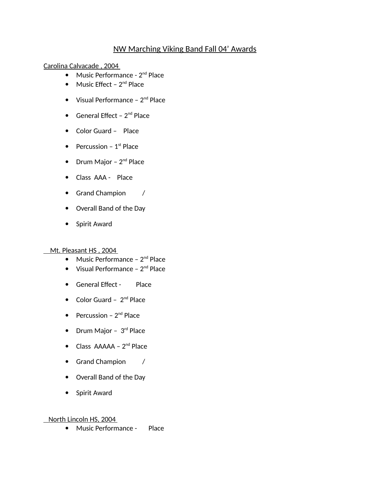## NW Marching Viking Band Fall 04' Awards

Carolina Calvacade , 2004

- $\bullet$  Music Performance  $2^{nd}$  Place
- $\bullet$  Music Effect 2<sup>nd</sup> Place
- Visual Performance  $2<sup>nd</sup>$  Place
- General Effect  $2^{nd}$  Place
- Color Guard Place
- Percussion  $1<sup>st</sup>$  Place
- $\bullet$  Drum Major 2<sup>nd</sup> Place
- Class AAA Place
- Grand Champion /
- Overall Band of the Day
- Spirit Award

Mt. Pleasant HS , 2004

- $\bullet$  Music Performance  $2^{nd}$  Place
- Visual Performance  $2<sup>nd</sup>$  Place
- General Effect Place
- Color Guard  $2<sup>nd</sup>$  Place
- Percussion  $2<sup>nd</sup>$  Place
- Drum Major  $3<sup>rd</sup>$  Place
- $\bullet$  Class AAAAA 2<sup>nd</sup> Place
- Grand Champion /
- Overall Band of the Day
- Spirit Award

## North Lincoln HS, 2004

Music Performance - Place